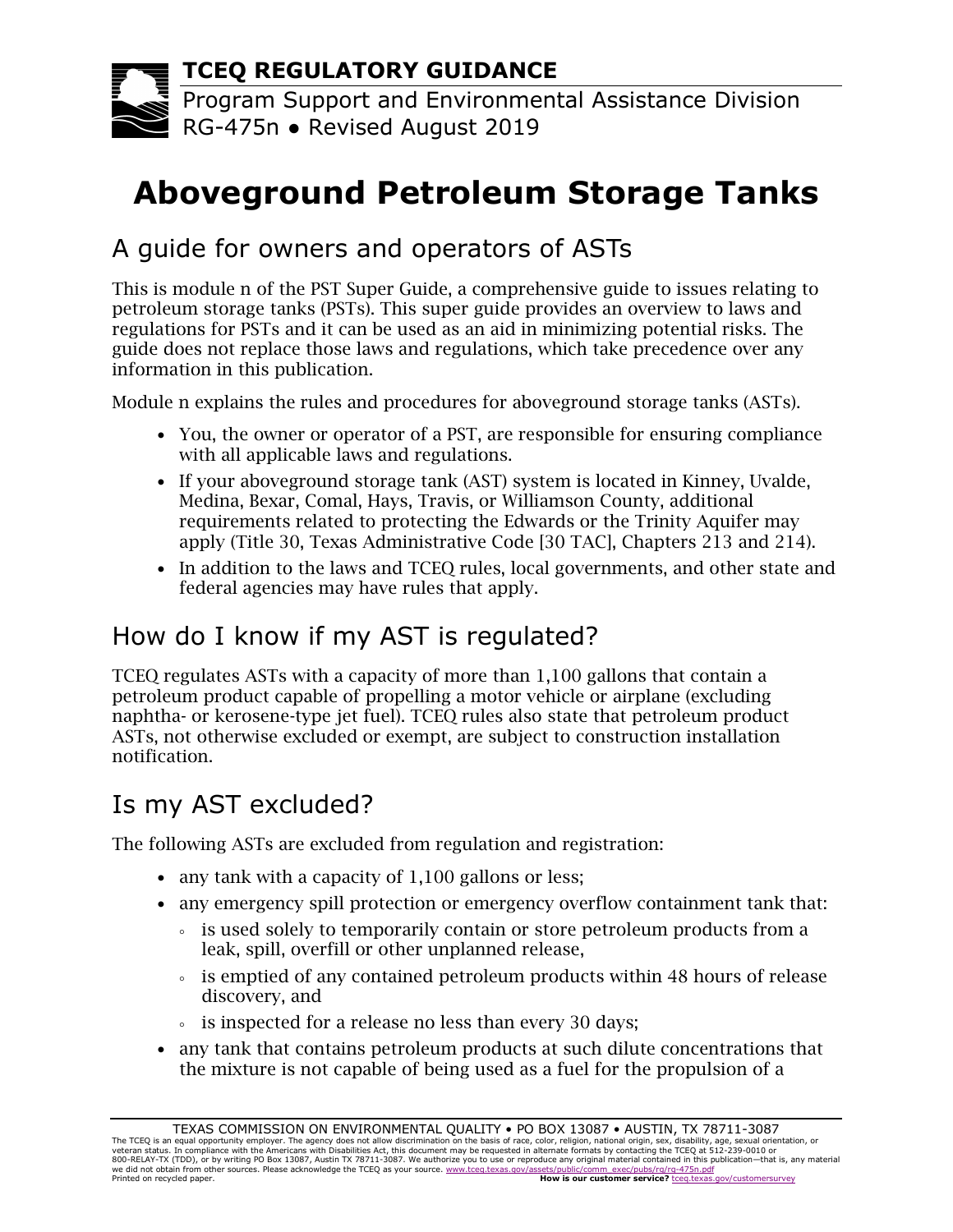**TCEQ REGULATORY GUIDANCE**

Program Support and Environmental Assistance Division RG-475n ● Revised August 2019

# **Aboveground Petroleum Storage Tanks**

# A guide for owners and operators of ASTs

This is module n of the PST Super Guide, a comprehensive guide to issues relating to petroleum storage tanks (PSTs). This super guide provides an overview to laws and regulations for PSTs and it can be used as an aid in minimizing potential risks. The guide does not replace those laws and regulations, which take precedence over any information in this publication.

Module n explains the rules and procedures for aboveground storage tanks (ASTs).

- You, the owner or operator of a PST, are responsible for ensuring compliance with all applicable laws and regulations.
- If your aboveground storage tank (AST) system is located in Kinney, Uvalde, Medina, Bexar, Comal, Hays, Travis, or Williamson County, additional requirements related to protecting the Edwards or the Trinity Aquifer may apply (Title 30, Texas Administrative Code [30 TAC], Chapters 213 and 214).
- In addition to the laws and TCEQ rules, local governments, and other state and federal agencies may have rules that apply.

# How do I know if my AST is regulated?

TCEQ regulates ASTs with a capacity of more than 1,100 gallons that contain a petroleum product capable of propelling a motor vehicle or airplane (excluding naphtha- or kerosene-type jet fuel). TCEQ rules also state that petroleum product ASTs, not otherwise excluded or exempt, are subject to construction installation notification.

# Is my AST excluded?

The following ASTs are excluded from regulation and registration:

- any tank with a capacity of 1,100 gallons or less;
- any emergency spill protection or emergency overflow containment tank that:
	- is used solely to temporarily contain or store petroleum products from a leak, spill, overfill or other unplanned release,
	- is emptied of any contained petroleum products within 48 hours of release discovery, and
	- is inspected for a release no less than every 30 days;
- any tank that contains petroleum products at such dilute concentrations that the mixture is not capable of being used as a fuel for the propulsion of a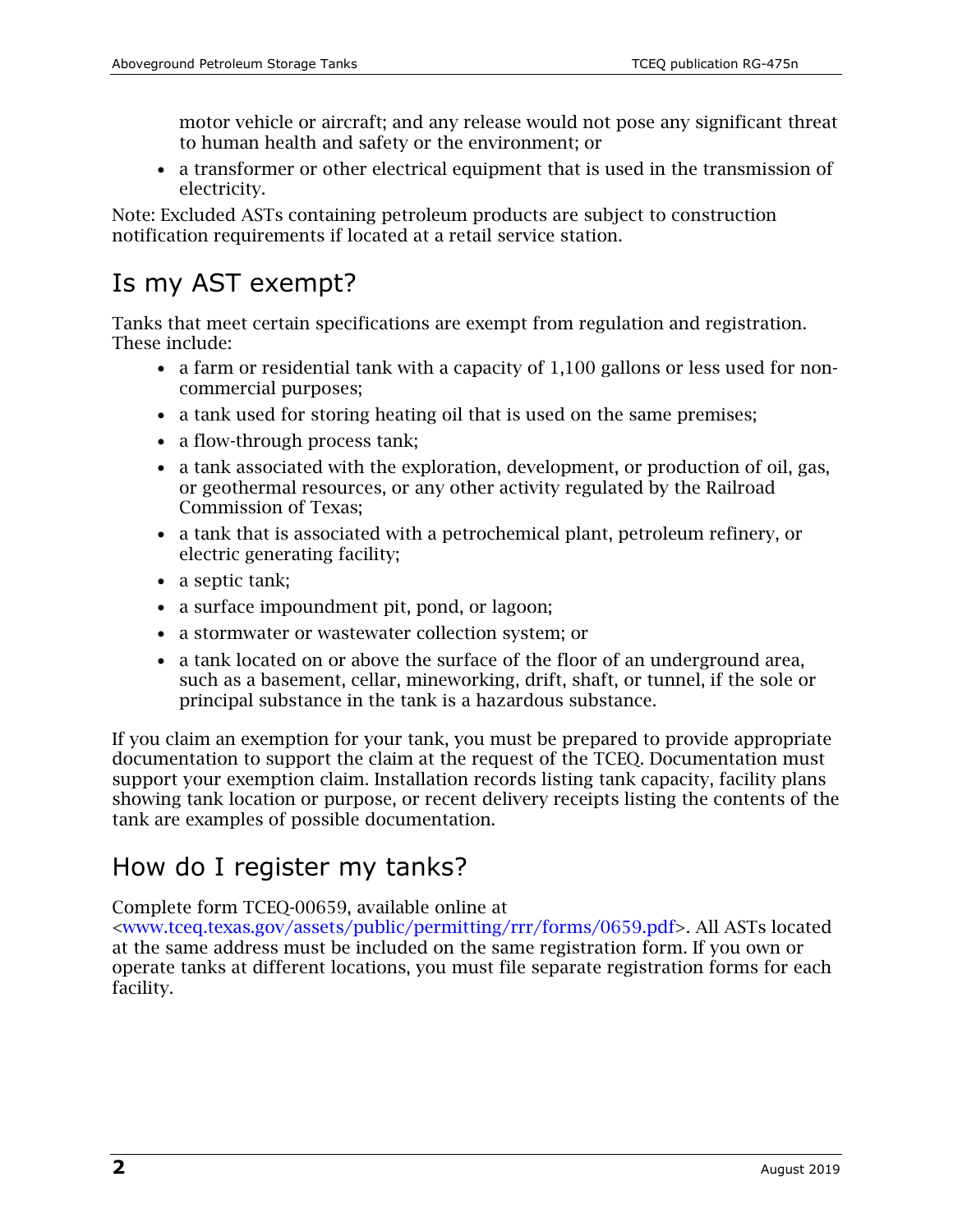motor vehicle or aircraft; and any release would not pose any significant threat to human health and safety or the environment; or

• a transformer or other electrical equipment that is used in the transmission of electricity.

Note: Excluded ASTs containing petroleum products are subject to construction notification requirements if located at a retail service station.

# Is my AST exempt?

Tanks that meet certain specifications are exempt from regulation and registration. These include:

- a farm or residential tank with a capacity of 1,100 gallons or less used for noncommercial purposes;
- a tank used for storing heating oil that is used on the same premises;
- a flow-through process tank;
- a tank associated with the exploration, development, or production of oil, gas, or geothermal resources, or any other activity regulated by the Railroad Commission of Texas;
- a tank that is associated with a petrochemical plant, petroleum refinery, or electric generating facility;
- a septic tank;
- a surface impoundment pit, pond, or lagoon;
- a stormwater or wastewater collection system; or
- a tank located on or above the surface of the floor of an underground area, such as a basement, cellar, mineworking, drift, shaft, or tunnel, if the sole or principal substance in the tank is a hazardous substance.

If you claim an exemption for your tank, you must be prepared to provide appropriate documentation to support the claim at the request of the TCEQ. Documentation must support your exemption claim. Installation records listing tank capacity, facility plans showing tank location or purpose, or recent delivery receipts listing the contents of the tank are examples of possible documentation.

#### How do I register my tanks?

Complete form TCEQ-00659, available online at

[<www.tceq.texas.gov/assets/public/permitting/rrr/forms/0659.pdf>](https://www.tceq.texas.gov/assets/public/permitting/rrr/forms/0659.pdf). All ASTs located at the same address must be included on the same registration form. If you own or operate tanks at different locations, you must file separate registration forms for each facility.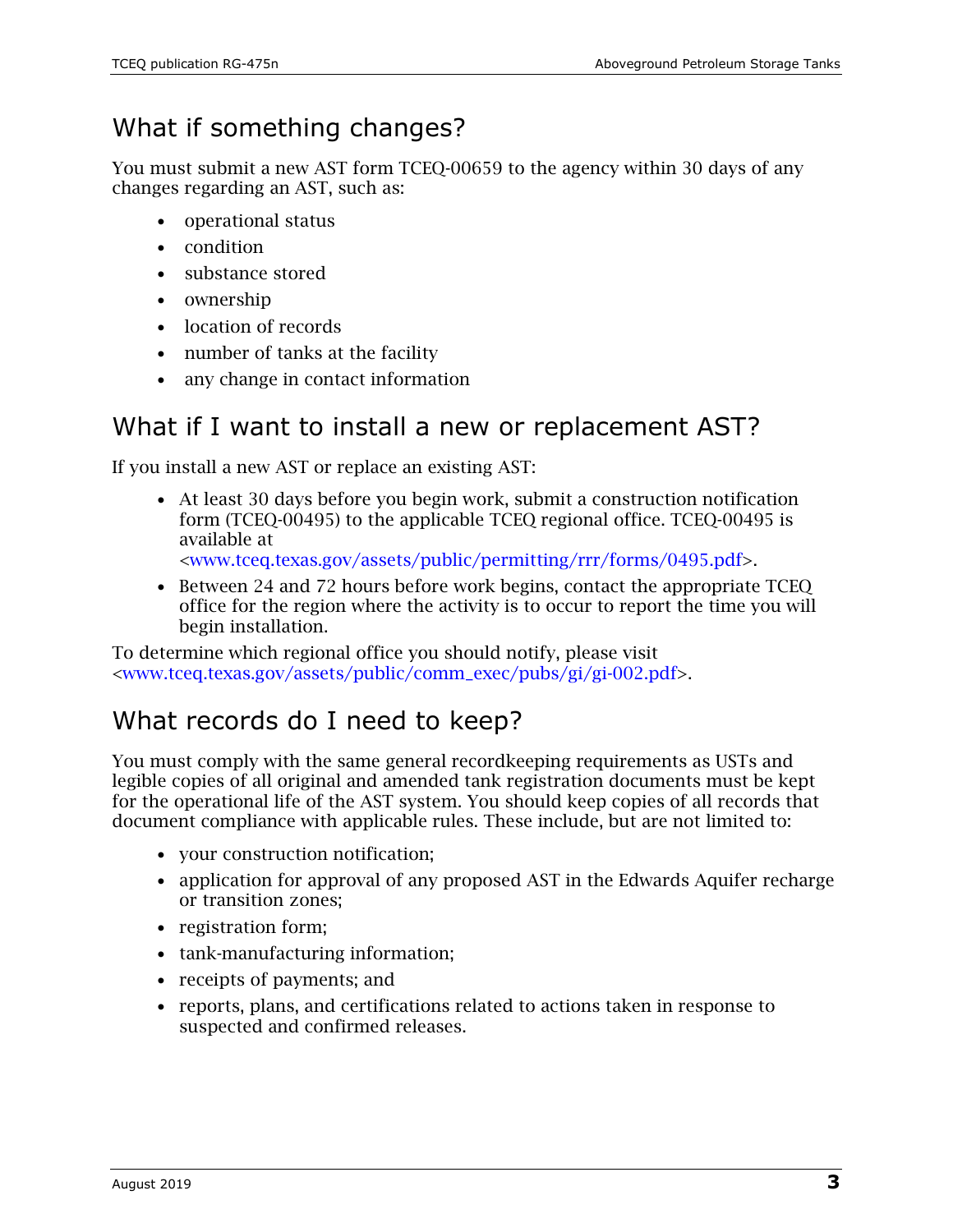# What if something changes?

You must submit a new AST form TCEQ-00659 to the agency within 30 days of any changes regarding an AST, such as:

- operational status
- condition
- substance stored
- ownership
- location of records
- number of tanks at the facility
- any change in contact information

#### What if I want to install a new or replacement AST?

If you install a new AST or replace an existing AST:

• At least 30 days before you begin work, submit a construction notification form (TCEQ-00495) to the applicable TCEQ regional office. TCEQ-00495 is available at

[<www.tceq.texas.gov/assets/public/permitting/rrr/forms/0495.pdf>](https://www.tceq.texas.gov/assets/public/permitting/rrr/forms/0495.pdf).

• Between 24 and 72 hours before work begins, contact the appropriate TCEQ office for the region where the activity is to occur to report the time you will begin installation.

To determine which regional office you should notify, please visit [<www.tceq.texas.gov/assets/public/comm\\_exec/pubs/gi/gi-002.pdf>](https://www.tceq.texas.gov/assets/public/comm_exec/pubs/gi/gi-002.pdf).

# What records do I need to keep?

You must comply with the same general recordkeeping requirements as USTs and legible copies of all original and amended tank registration documents must be kept for the operational life of the AST system. You should keep copies of all records that document compliance with applicable rules. These include, but are not limited to:

- your construction notification;
- application for approval of any proposed AST in the Edwards Aquifer recharge or transition zones;
- registration form;
- tank-manufacturing information;
- receipts of payments; and
- reports, plans, and certifications related to actions taken in response to suspected and confirmed releases.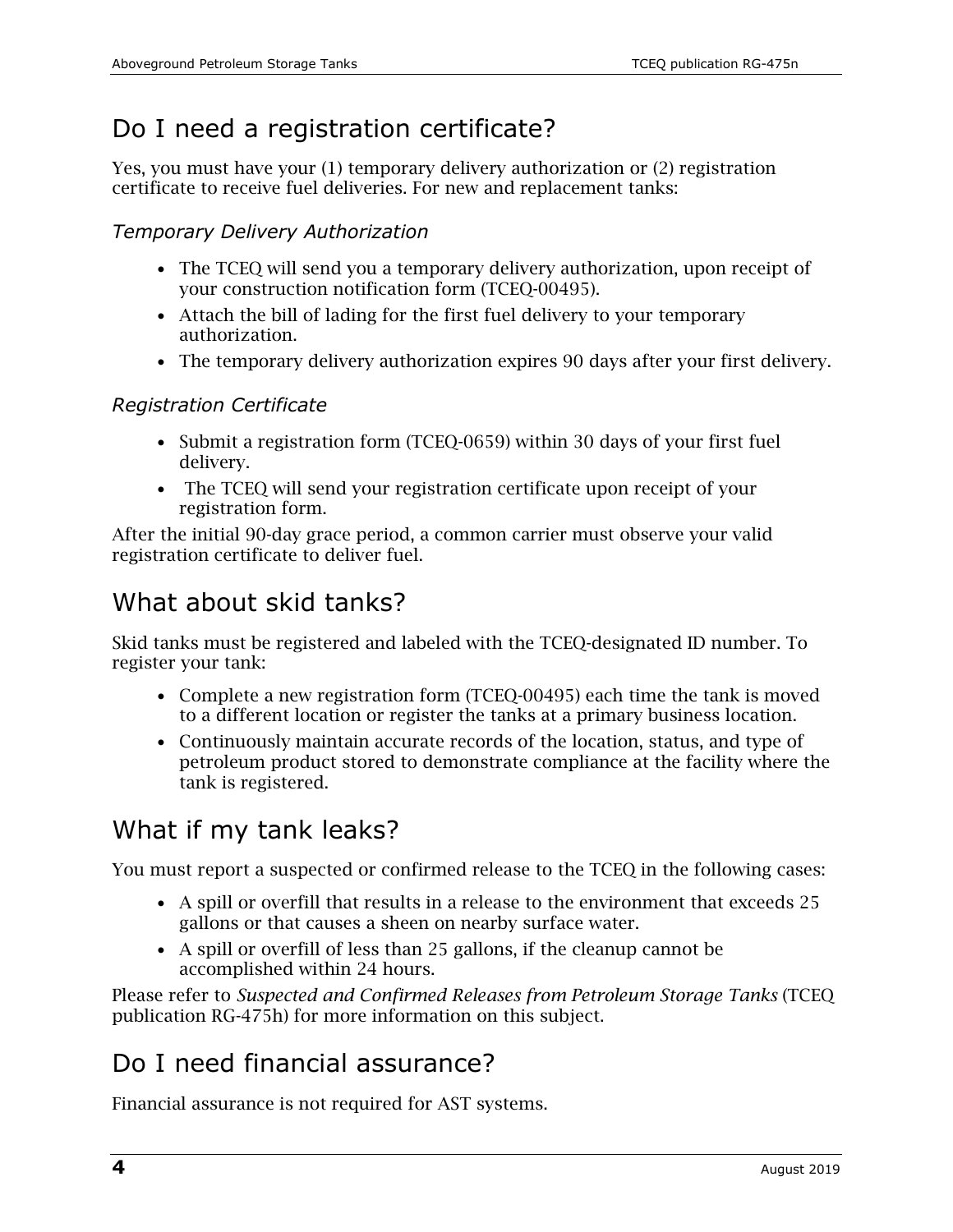# Do I need a registration certificate?

Yes, you must have your (1) temporary delivery authorization or (2) registration certificate to receive fuel deliveries. For new and replacement tanks:

#### *Temporary Delivery Authorization*

- The TCEQ will send you a temporary delivery authorization, upon receipt of your construction notification form (TCEQ-00495).
- Attach the bill of lading for the first fuel delivery to your temporary authorization.
- The temporary delivery authorization expires 90 days after your first delivery.

#### *Registration Certificate*

- Submit a registration form (TCEQ-0659) within 30 days of your first fuel delivery.
- The TCEQ will send your registration certificate upon receipt of your registration form.

After the initial 90-day grace period, a common carrier must observe your valid registration certificate to deliver fuel.

#### What about skid tanks?

Skid tanks must be registered and labeled with the TCEQ-designated ID number. To register your tank:

- Complete a new registration form (TCEQ-00495) each time the tank is moved to a different location or register the tanks at a primary business location.
- Continuously maintain accurate records of the location, status, and type of petroleum product stored to demonstrate compliance at the facility where the tank is registered.

# What if my tank leaks?

You must report a suspected or confirmed release to the TCEQ in the following cases:

- A spill or overfill that results in a release to the environment that exceeds 25 gallons or that causes a sheen on nearby surface water.
- A spill or overfill of less than 25 gallons, if the cleanup cannot be accomplished within 24 hours.

Please refer to *Suspected and Confirmed Releases from Petroleum Storage Tanks* (TCEQ publication RG-475h) for more information on this subject.

# Do I need financial assurance?

Financial assurance is not required for AST systems.